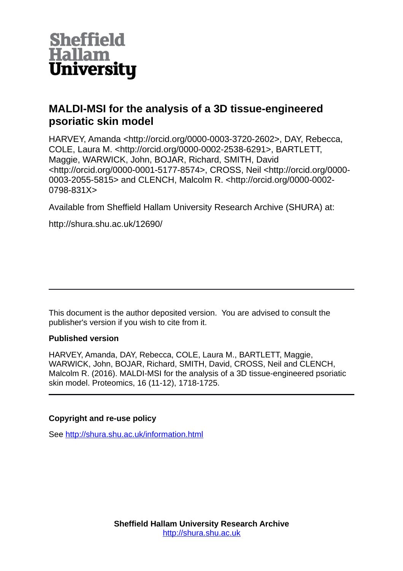

# **MALDI-MSI for the analysis of a 3D tissue-engineered psoriatic skin model**

HARVEY, Amanda <http://orcid.org/0000-0003-3720-2602>, DAY, Rebecca, COLE, Laura M. <http://orcid.org/0000-0002-2538-6291>, BARTLETT, Maggie, WARWICK, John, BOJAR, Richard, SMITH, David <http://orcid.org/0000-0001-5177-8574>, CROSS, Neil <http://orcid.org/0000- 0003-2055-5815> and CLENCH, Malcolm R. <http://orcid.org/0000-0002- 0798-831X>

Available from Sheffield Hallam University Research Archive (SHURA) at:

http://shura.shu.ac.uk/12690/

This document is the author deposited version. You are advised to consult the publisher's version if you wish to cite from it.

## **Published version**

HARVEY, Amanda, DAY, Rebecca, COLE, Laura M., BARTLETT, Maggie, WARWICK, John, BOJAR, Richard, SMITH, David, CROSS, Neil and CLENCH, Malcolm R. (2016). MALDI-MSI for the analysis of a 3D tissue-engineered psoriatic skin model. Proteomics, 16 (11-12), 1718-1725.

# **Copyright and re-use policy**

See<http://shura.shu.ac.uk/information.html>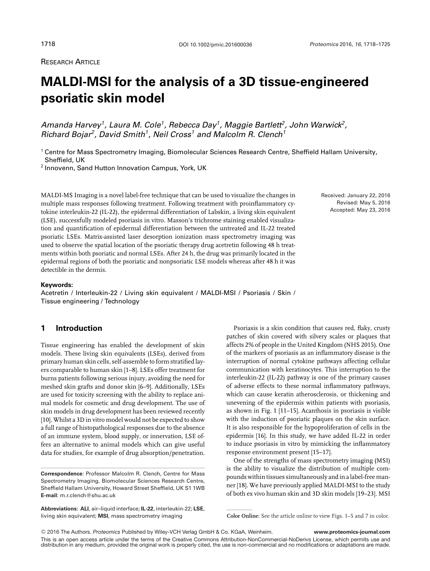### **RESEARCH ARTICLE**

# **MALDI-MSI for the analysis of a 3D tissue-engineered psoriatic skin model**

*Amanda Harvey1, Laura M. Cole1, Rebecca Day1, Maggie Bartlett2, John Warwick2, Richard Bojar2, David Smith1, Neil Cross1 and Malcolm R. Clench<sup>1</sup>*

<sup>1</sup> Centre for Mass Spectrometry Imaging, Biomolecular Sciences Research Centre, Sheffield Hallam University, Sheffield, UK

<sup>2</sup> Innovenn, Sand Hutton Innovation Campus, York, UK

MALDI-MS Imaging is a novel label-free technique that can be used to visualize the changes in multiple mass responses following treatment. Following treatment with proinflammatory cytokine interleukin-22 (IL-22), the epidermal differentiation of Labskin, a living skin equivalent (LSE), successfully modeled psoriasis in vitro. Masson's trichrome staining enabled visualization and quantification of epidermal differentiation between the untreated and IL-22 treated psoriatic LSEs. Matrix-assisted laser desorption ionization mass spectrometry imaging was used to observe the spatial location of the psoriatic therapy drug acetretin following 48 h treatments within both psoriatic and normal LSEs. After 24 h, the drug was primarily located in the epidermal regions of both the psoriatic and nonpsoriatic LSE models whereas after 48 h it was detectible in the dermis.

#### **Keywords:**

Acetretin / Interleukin-22 / Living skin equivalent / MALDI-MSI / Psoriasis / Skin / Tissue engineering / Technology

#### **1 Introduction**

Tissue engineering has enabled the development of skin models. These living skin equivalents (LSEs), derived from primary human skin cells, self-assemble to form stratified layers comparable to human skin [1–8]. LSEs offer treatment for burns patients following serious injury, avoiding the need for meshed skin grafts and donor skin [6–9]. Additionally, LSEs are used for toxicity screening with the ability to replace animal models for cosmetic and drug development. The use of skin models in drug development has been reviewed recently [10]. Whilst a 3D in vitro model would not be expected to show a full range of histopathological responses due to the absence of an immune system, blood supply, or innervation, LSE offers an alternative to animal models which can give useful data for studies, for example of drug absorption/penetration.

**Abbreviations: ALI**, air–liquid interface; **IL-22**, interleukin-22; **LSE**, living skin equivalent; **MSI**, mass spectrometry imaging

Received: January 22, 2016 Revised: May 5, 2016 Accepted: May 23, 2016

Psoriasis is a skin condition that causes red, flaky, crusty patches of skin covered with silvery scales or plaques that affects 2% of people in the United Kingdom (NHS 2015). One of the markers of psoriasis as an inflammatory disease is the interruption of normal cytokine pathways affecting cellular communication with keratinocytes. This interruption to the interleukin-22 (IL-22) pathway is one of the primary causes of adverse effects to these normal inflammatory pathways, which can cause keratin atherosclerosis, or thickening and unevening of the epidermis within patients with psoriasis, as shown in Fig. 1 [11–15]. Acanthosis in psoriasis is visible with the induction of psoriatic plaques on the skin surface. It is also responsible for the hypoproliferation of cells in the epidermis [16]. In this study, we have added IL-22 in order to induce psoriasis in vitro by mimicking the inflammatory response environment present [15–17].

One of the strengths of mass spectrometry imaging (MSI) is the ability to visualize the distribution of multiple compounds within tissues simultaneously and in a label-free manner [18]. We have previously applied MALDI-MSI to the study of both ex vivo human skin and 3D skin models [19–23]. MSI

**Correspondence**: Professor Malcolm R. Clench, Centre for Mass Spectrometry Imaging, Biomolecular Sciences Research Centre, Sheffield Hallam University, Howard Street Sheffield, UK S1 1WB **E-mail**: m.r.clench@shu.ac.uk

**Color Online**: See the article online to view Figs. 1–5 and 7 in color.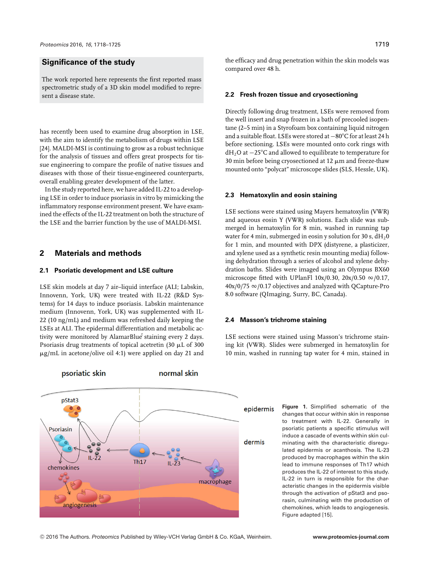#### **Significance of the study**

The work reported here represents the first reported mass spectrometric study of a 3D skin model modified to represent a disease state.

has recently been used to examine drug absorption in LSE, with the aim to identify the metabolism of drugs within LSE [24]. MALDI-MSI is continuing to grow as a robust technique for the analysis of tissues and offers great prospects for tissue engineering to compare the profile of native tissues and diseases with those of their tissue-engineered counterparts, overall enabling greater development of the latter.

In the study reported here, we have added IL-22 to a developing LSE in order to induce psoriasis in vitro by mimicking the inflammatory response environment present. We have examined the effects of the IL-22 treatment on both the structure of the LSE and the barrier function by the use of MALDI-MSI.

#### **2 Materials and methods**

#### **2.1 Psoriatic development and LSE culture**

LSE skin models at day 7 air–liquid interface (ALI; Labskin, Innovenn, York, UK) were treated with IL-22 (R&D Systems) for 14 days to induce psoriasis. Labskin maintenance medium (Innovenn, York, UK) was supplemented with IL-22 (10 ng/mL) and medium was refreshed daily keeping the LSEs at ALI. The epidermal differentiation and metabolic activity were monitored by AlamarBlue staining every 2 days. Psoriasis drug treatments of topical acetretin (30  $\mu$ L of 300 -g/mL in acetone/olive oil 4:1) were applied on day 21 and



the efficacy and drug penetration within the skin models was compared over 48 h.

#### **2.2 Fresh frozen tissue and cryosectioning**

Directly following drug treatment, LSEs were removed from the well insert and snap frozen in a bath of precooled isopentane (2–5 min) in a Styrofoam box containing liquid nitrogen and a suitable float. LSEs were stored at −80°C for at least 24 h before sectioning. LSEs were mounted onto cork rings with dH2O at −25C and allowed to equilibrate to temperature for 30 min before being cryosectioned at 12  $\mu$ m and freeze-thaw mounted onto "polycat" microscope slides (SLS, Hessle, UK).

#### **2.3 Hematoxylin and eosin staining**

LSE sections were stained using Mayers hematoxylin (VWR) and aqueous eosin Y (VWR) solutions. Each slide was submerged in hematoxylin for 8 min, washed in running tap water for 4 min, submerged in eosin y solution for 30 s,  $dH_2$ 0 for 1 min, and mounted with DPX (distyrene, a plasticizer, and xylene used as a synthetic resin mounting media) following dehydration through a series of alcohol and xylene dehydration baths. Slides were imaged using an Olympus BX60 microscope fitted with UPlanFl 10x/0.30, 20x/0.50  $\infty$ /0.17,  $40x/0/75 \approx 0.17$  objectives and analyzed with QCapture-Pro 8.0 software (QImaging, Surry, BC, Canada).

#### **2.4 Masson's trichrome staining**

LSE sections were stained using Masson's trichrome staining kit (VWR). Slides were submerged in hematoxylin for 10 min, washed in running tap water for 4 min, stained in

> **Figure 1.** Simplified schematic of the changes that occur within skin in response to treatment with IL-22. Generally in psoriatic patients a specific stimulus will induce a cascade of events within skin culminating with the characteristic disregulated epidermis or acanthosis. The IL-23 produced by macrophages within the skin lead to immune responses of Th17 which produces the IL-22 of interest to this study. IL-22 in turn is responsible for the characteristic changes in the epidermis visible through the activation of pStat3 and psorasin, culminating with the production of chemokines, which leads to angiogenesis. Figure adapted [15].

-<sup>C</sup> 2016 The Authors. *Proteomics* Published by Wiley-VCH Verlag GmbH & Co. KGaA, Weinheim. **www.proteomics-journal.com**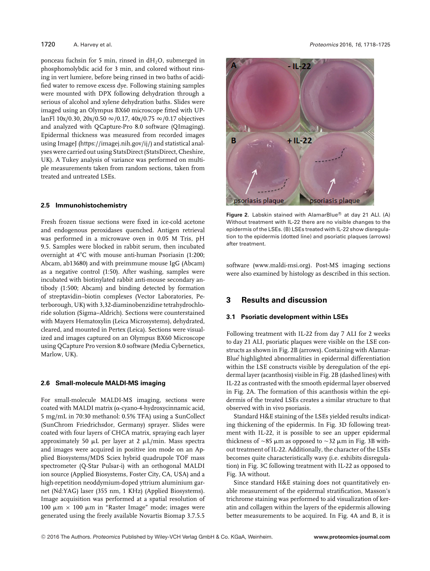ponceau fuchsin for 5 min, rinsed in  $dH_2O$ , submerged in phosphomolybdic acid for 3 min, and colored without rinsing in vert lumiere, before being rinsed in two baths of acidified water to remove excess dye. Following staining samples were mounted with DPX following dehydration through a serious of alcohol and xylene dehydration baths. Slides were imaged using an Olympus BX60 microscope fitted with UPlanFl 10x/0.30, 20x/0.50  $\infty$ /0.17, 40x/0.75  $\infty$ /0.17 objectives and analyzed with QCapture-Pro 8.0 software (QImaging). Epidermal thickness was measured from recorded images using ImageJ [\(https://imagej.nih.gov/ij/\)](https://imagej.nih.gov/ij/) and statistical analyses were carried out using StatsDirect (StatsDirect, Cheshire, UK). A Tukey analysis of variance was performed on multiple measurements taken from random sections, taken from treated and untreated LSEs.

#### **2.5 Immunohistochemistry**

Fresh frozen tissue sections were fixed in ice-cold acetone and endogenous peroxidases quenched. Antigen retrieval was performed in a microwave oven in 0.05 M Tris, pH 9.5. Samples were blocked in rabbit serum, then incubated overnight at 4°C with mouse anti-human Psoriasin (1:200; Abcam, ab13680) and with preimmune mouse IgG (Abcam) as a negative control (1:50). After washing, samples were incubated with biotinylated rabbit anti-mouse secondary antibody (1:500; Abcam) and binding detected by formation of streptavidin–biotin complexes (Vector Laboratories, Peterborough, UK) with 3,32-diaminobenzidine tetrahydrochloride solution (Sigma–Aldrich). Sections were counterstained with Mayers Hematoxylin (Leica Microsystems), dehydrated, cleared, and mounted in Pertex (Leica). Sections were visualized and images captured on an Olympus BX60 Microscope using QCapture Pro version 8.0 software (Media Cybernetics, Marlow, UK).

#### **2.6 Small-molecule MALDI-MS imaging**

For small-molecule MALDI-MS imaging, sections were coated with MALDI matrix ( $\alpha$ -cyano-4-hydroxycinnamic acid, 5 mg/mL in 70:30 methanol: 0.5% TFA) using a SunCollectۛ (SunChrom Friedrichsdor, Germany) sprayer. Slides were coated with four layers of CHCA matrix, spraying each layer approximately 50  $\mu$ L per layer at 2  $\mu$ L/min. Mass spectra and images were acquired in positive ion mode on an Applied Biosystems/MDS Sciex hybrid quadrupole TOF mass spectrometer (Q-Star Pulsar-i) with an orthogonal MALDI ion source (Applied Biosystems, Foster City, CA, USA) and a high-repetition neoddymium-doped yttrium aluminium garnet (Nd:YAG) laser (355 nm, 1 KHz) (Applied Biosystems). Image acquisition was performed at a spatial resolution of  $100 \mu m \times 100 \mu m$  in "Raster Image" mode; images were generated using the freely available Novartis Biomap 3.7.5.5



**Figure 2.** Labskin stained with AlamarBlue<sup>®</sup> at day 21 ALI. (A) Without treatment with IL-22 there are no visible changes to the epidermis of the LSEs. (B) LSEs treated with IL-22 show disregulation to the epidermis (dotted line) and psoriatic plaques (arrows) after treatment.

software [\(www.maldi-msi.org\)](http://www.maldi-msi.org). Post-MS imaging sections were also examined by histology as described in this section.

### **3 Results and discussion**

#### **3.1 Psoriatic development within LSEs**

Following treatment with IL-22 from day 7 ALI for 2 weeks to day 21 ALI, psoriatic plaques were visible on the LSE constructs as shown in Fig. 2B (arrows). Costaining with Alamar-Blue<sup>®</sup> highlighted abnormalities in epidermal differentiation within the LSE constructs visible by deregulation of the epidermal layer (acanthosis) visible in Fig. 2B (dashed lines) with IL-22 as contrasted with the smooth epidermal layer observed in Fig. 2A. The formation of this acanthosis within the epidermis of the treated LSEs creates a similar structure to that observed with in vivo psoriasis.

Standard H&E staining of the LSEs yielded results indicating thickening of the epidermis. In Fig. 3D following treatment with IL-22, it is possible to see an upper epidermal thickness of  $\sim$ 85  $\mu$ m as opposed to  $\sim$ 32  $\mu$ m in Fig. 3B without treatment of IL-22. Additionally, the character of the LSEs becomes quite characteristically wavy (i.e. exhibits disregulation) in Fig. 3C following treatment with IL-22 as opposed to Fig. 3A without.

Since standard H&E staining does not quantitatively enable measurement of the epidermal stratification, Masson's trichrome staining was performed to aid visualization of keratin and collagen within the layers of the epidermis allowing better measurements to be acquired. In Fig. 4A and B, it is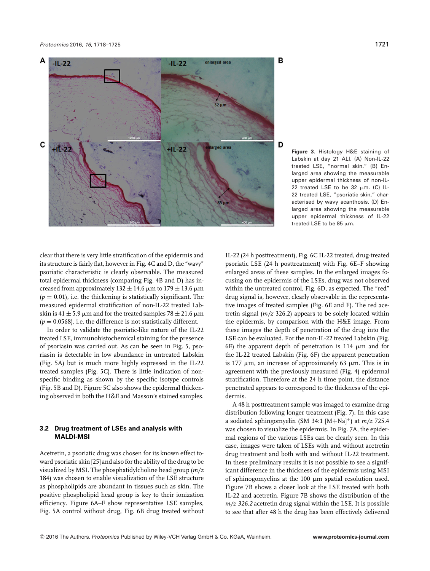

**Figure 3.** Histology H&E staining of Labskin at day 21 ALI. (A) Non-IL-22 treated LSE, "normal skin." (B) Enlarged area showing the measurable upper epidermal thickness of non-IL-22 treated LSE to be 32  $\mu$ m. (C) IL-22 treated LSE, "psoriatic skin," characterised by wavy acanthosis. (D) Enlarged area showing the measurable upper epidermal thickness of IL-22 treated LSE to be 85  $\mu$ m.

clear that there is very little stratification of the epidermis and its structure is fairly flat, however in Fig. 4C and D, the "wavy" psoriatic characteristic is clearly observable. The measured total epidermal thickness (comparing Fig. 4B and D) has increased from approximately  $132 \pm 14.6$   $\mu$ m to  $179 \pm 13.6$   $\mu$ m  $(p = 0.01)$ , i.e. the thickening is statistically significant. The measured epidermal stratification of non-IL-22 treated Labskin is 41  $\pm$  5.9  $\mu$ m and for the treated samples 78  $\pm$  21.6  $\mu$ m  $(p = 0.0568)$ , i.e. the difference is not statistically different.

In order to validate the psoriatic-like nature of the IL-22 treated LSE, immunohistochemical staining for the presence of psoriasin was carried out. As can be seen in Fig. 5, psoriasin is detectable in low abundance in untreated Labskin (Fig. 5A) but is much more highly expressed in the IL-22 treated samples (Fig. 5C). There is little indication of nonspecific binding as shown by the specific isotype controls (Fig. 5B and D). Figure 5C also shows the epidermal thickening observed in both the H&E and Masson's stained samples.

#### **3.2 Drug treatment of LSEs and analysis with MALDI-MSI**

Acetretin, a psoriatic drug was chosen for its known effect toward psoriatic skin [25] and also for the ability of the drug to be visualized by MSI. The phosphatidylcholine head group (*m/z* 184) was chosen to enable visualization of the LSE structure as phospholipids are abundant in tissues such as skin. The positive phospholipid head group is key to their ionization efficiency. Figure 6A–F show representative LSE samples, Fig. 5A control without drug, Fig. 6B drug treated without

IL-22 (24 h posttreatment), Fig. 6C IL-22 treated, drug-treated psoriatic LSE (24 h posttreatment) with Fig. 6E–F showing enlarged areas of these samples. In the enlarged images focusing on the epidermis of the LSEs, drug was not observed within the untreated control, Fig. 6D, as expected. The "red" drug signal is, however, clearly observable in the representative images of treated samples (Fig. 6E and F). The red acetretin signal (*m/z* 326.2) appears to be solely located within the epidermis, by comparison with the H&E image. From these images the depth of penetration of the drug into the LSE can be evaluated. For the non-IL-22 treated Labskin (Fig. 6E) the apparent depth of penetration is 114  $\mu$ m and for the IL-22 treated Labskin (Fig. 6F) the apparent penetration is 177  $\mu$ m, an increase of approximately 63  $\mu$ m. This is in agreement with the previously measured (Fig. 4) epidermal stratification. Therefore at the 24 h time point, the distance penetrated appears to correspond to the thickness of the epidermis.

A 48 h posttreatment sample was imaged to examine drug distribution following longer treatment (Fig. 7). In this case a sodiated sphingomyelin (SM 34:1 [M+Na]+) at *m/z* 725.4 was chosen to visualize the epidermis. In Fig. 7A, the epidermal regions of the various LSEs can be clearly seen. In this case, images were taken of LSEs with and without acetretin drug treatment and both with and without IL-22 treatment. In these preliminary results it is not possible to see a significant difference in the thickness of the epidermis using MSI of sphinogomyelins at the  $100 \mu m$  spatial resolution used. Figure 7B shows a closer look at the LSE treated with both IL-22 and acetretin. Figure 7B shows the distribution of the *m/z 326.2* acetretin drug signal within the LSE. It is possible to see that after 48 h the drug has been effectively delivered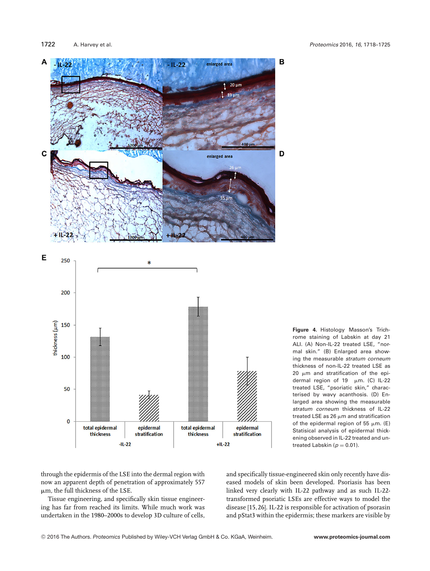

**Figure 4.** Histology Masson's Trichrome staining of Labskin at day 21 ALI. (A) Non-IL-22 treated LSE, "normal skin." (B) Enlarged area showing the measurable *stratum corneum* thickness of non-IL-22 treated LSE as 20  $\mu$ m and stratification of the epidermal region of 19  $\mu$ m. (C) IL-22 treated LSE, "psoriatic skin," characterised by wavy acanthosis. (D) Enlarged area showing the measurable *stratum corneum* thickness of IL-22 treated LSE as 26  $\mu$ m and stratification of the epidermal region of 55  $\mu$ m. (E) Statisical analysis of epidermal thickening observed in IL-22 treated and untreated Labskin ( $p = 0.01$ ).

through the epidermis of the LSE into the dermal region with now an apparent depth of penetration of approximately 557  $\mu$ m, the full thickness of the LSE.

Tissue engineering, and specifically skin tissue engineering has far from reached its limits. While much work was undertaken in the 1980–2000s to develop 3D culture of cells, and specifically tissue-engineered skin only recently have diseased models of skin been developed. Psoriasis has been linked very clearly with IL-22 pathway and as such IL-22 transformed psoriatic LSEs are effective ways to model the disease [15, 26]. IL-22 is responsible for activation of psorasin and pStat3 within the epidermis; these markers are visible by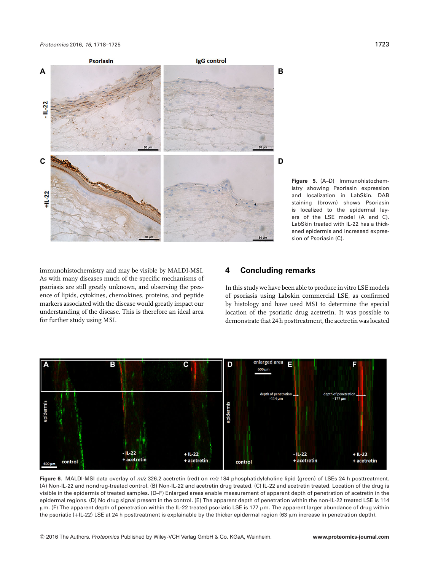

**Figure 5.** (A–D) Immunohistochemistry showing Psoriasin expression and localization in LabSkin. DAB staining (brown) shows Psoriasin is localized to the epidermal layers of the LSE model (A and C). LabSkin treated with IL-22 has a thickened epidermis and increased expression of Psoriasin (C).

immunohistochemistry and may be visible by MALDI-MSI. As with many diseases much of the specific mechanisms of psoriasis are still greatly unknown, and observing the presence of lipids, cytokines, chemokines, proteins, and peptide markers associated with the disease would greatly impact our understanding of the disease. This is therefore an ideal area for further study using MSI.

#### **4 Concluding remarks**

In this study we have been able to produce in vitro LSE models of psoriasis using Labskin commercial LSE, as confirmed by histology and have used MSI to determine the special location of the psoriatic drug acetretin. It was possible to demonstrate that 24 h posttreatment, the acetretin was located



**Figure 6.** MALDI-MSI data overlay of *m/z* 326.2 acetretin (red) on *m/z* 184 phosphatidylcholine lipid (green) of LSEs 24 h posttreatment. (A) Non-IL-22 and nondrug-treated control. (B) Non-IL-22 and acetretin drug treated. (C) IL-22 and acetretin treated. Location of the drug is visible in the epidermis of treated samples. (D–F) Enlarged areas enable measurement of apparent depth of penetration of acetretin in the epidermal regions. (D) No drug signal present in the control. (E) The apparent depth of penetration within the non-IL-22 treated LSE is 114  $\mu$ m. (F) The apparent depth of penetration within the IL-22 treated psoriatic LSE is 177  $\mu$ m. The apparent larger abundance of drug within the psoriatic (+IL-22) LSE at 24 h posttreatment is explainable by the thicker epidermal region (63  $\mu$ m increase in penetration depth).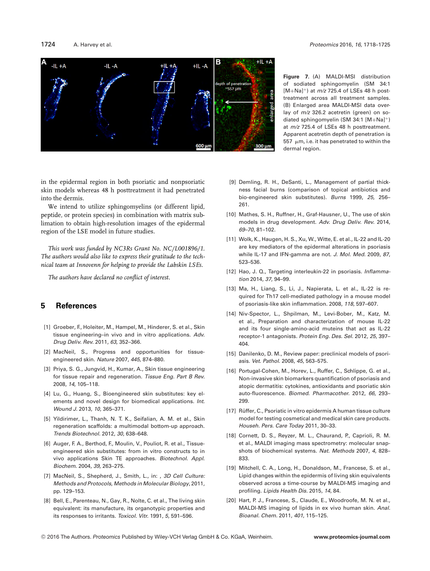#### 1724 A. Harvey et al. *Proteomics* 2016, *16*, 1718–1725



**Figure 7.** (A) MALDI-MSI distribution of sodiated sphingomyelin (SM 34:1 [M+Na]+) at *m/z* 725.4 of LSEs 48 h posttreatment across all treatment samples. (B) Enlarged area MALDI-MSI data overlay of *m/z* 326.2 acetretin (green) on sodiated sphingomyelin (SM 34:1 [M+Na]+) at *m/z* 725.4 of LSEs 48 h posttreatment. Apparent acetretin depth of penetration is 557  $\mu$ m, i.e. it has penetrated to within the dermal region.

in the epidermal region in both psoriatic and nonpsoriatic skin models whereas 48 h posttreatment it had penetrated into the dermis.

We intend to utilize sphingomyelins (or different lipid, peptide, or protein species) in combination with matrix sublimation to obtain high-resolution images of the epidermal region of the LSE model in future studies.

*This work was funded by NC3Rs Grant No. NC/L001896/1. The authors would also like to express their gratitude to the technical team at Innovenn for helping to provide the Labskin LSEs.*

*The authors have declared no conflict of interest.*

#### **5 References**

- [1] Groeber, F., Holeiter, M., Hampel, M., Hinderer, S. et al., Skin tissue engineering–in vivo and in vitro applications. *Adv. Drug Deliv. Rev.* 2011, *63*, 352–366.
- [2] MacNeil, S., Progress and opportunities for tissueengineered skin. *Nature* 2007, *445*, 874–880.
- [3] Priya, S. G., Jungvid, H., Kumar, A., Skin tissue engineering for tissue repair and regeneration. *Tissue Eng. Part B Rev.* 2008, *14*, 105–118.
- [4] Lu, G., Huang, S., Bioengineered skin substitutes: key elements and novel design for biomedical applications. *Int. Wound J.* 2013, *10*, 365–371.
- [5] Yildirimer, L., Thanh, N. T. K., Seifalian, A. M. et al., Skin regeneration scaffolds: a multimodal bottom-up approach. *Trends Biotechnol.* 2012, *30*, 638–648.
- [6] Auger, F. A., Berthod, F., Moulin, V., Pouliot, R. et al., Tissueengineered skin substitutes: from in vitro constructs to in vivo applications Skin TE approaches. *Biotechnol. Appl. Biochem.* 2004, *39*, 263–275.
- [7] MacNeil, S., Shepherd, J., Smith, L., in: , *3D Cell Culture: Methods and Protocols, Methods in Molecular Biology*, 2011, pp. 129–153.
- [8] Bell, E., Parenteau, N., Gay, R., Nolte, C. et al., The living skin equivalent: its manufacture, its organotypic properties and its responses to irritants. *Toxicol. Vitr.* 1991, *5*, 591–596.
- [9] Demling, R. H., DeSanti, L., Management of partial thickness facial burns (comparison of topical antibiotics and bio-engineered skin substitutes). *Burns* 1999, *25*, 256– 261.
- [10] Mathes, S. H., Ruffner, H., Graf-Hausner, U., The use of skin models in drug development. *Adv. Drug Deliv. Rev.* 2014, *69–70*, 81–102.
- [11] Wolk, K., Haugen, H. S., Xu, W., Witte, E. et al., IL-22 and IL-20 are key mediators of the epidermal alterations in psoriasis while IL-17 and IFN-gamma are not. *J. Mol. Med.* 2009, *87*, 523–536.
- [12] Hao, J. Q., Targeting interleukin-22 in psoriasis. *Inflammation* 2014, *37*, 94–99.
- [13] Ma, H., Liang, S., Li, J., Napierata, L. et al., IL-22 is required for Th17 cell-mediated pathology in a mouse model of psoriasis-like skin inflammation. 2008, *118*, 597–607.
- [14] Niv-Spector, L., Shpilman, M., Levi-Bober, M., Katz, M. et al., Preparation and characterization of mouse IL-22 and its four single-amino-acid muteins that act as IL-22 receptor-1 antagonists. *Protein Eng. Des. Sel.* 2012, *25*, 397– 404.
- [15] Danilenko, D. M., Review paper: preclinical models of psoriasis. *Vet. Pathol.* 2008, *45*, 563–575.
- [16] Portugal-Cohen, M., Horev, L., Ruffer, C., Schlippe, G. et al., Non-invasive skin biomarkers quantification of psoriasis and atopic dermatitis: cytokines, antioxidants and psoriatic skin auto-fluorescence. *Biomed. Pharmacother.* 2012, *66*, 293– 299.
- [17] Rüffer, C., Psoriatic in vitro epidermis A human tissue culture model for testing cosmetical and medical skin care products. *Househ. Pers. Care Today* 2011, 30–33.
- [18] Cornett, D. S., Reyzer, M. L., Chaurand, P., Caprioli, R. M. et al., MALDI imaging mass spectrometry: molecular snapshots of biochemical systems. *Nat. Methods* 2007, *4*, 828– 833.
- [19] Mitchell, C. A., Long, H., Donaldson, M., Francese, S. et al., Lipid changes within the epidermis of living skin equivalents observed across a time-course by MALDI-MS imaging and profiling. *Lipids Health Dis.* 2015, *14*, 84.
- [20] Hart, P. J., Francese, S., Claude, E., Woodroofe, M. N. et al., MALDI-MS imaging of lipids in ex vivo human skin. *Anal. Bioanal. Chem.* 2011, *401*, 115–125.